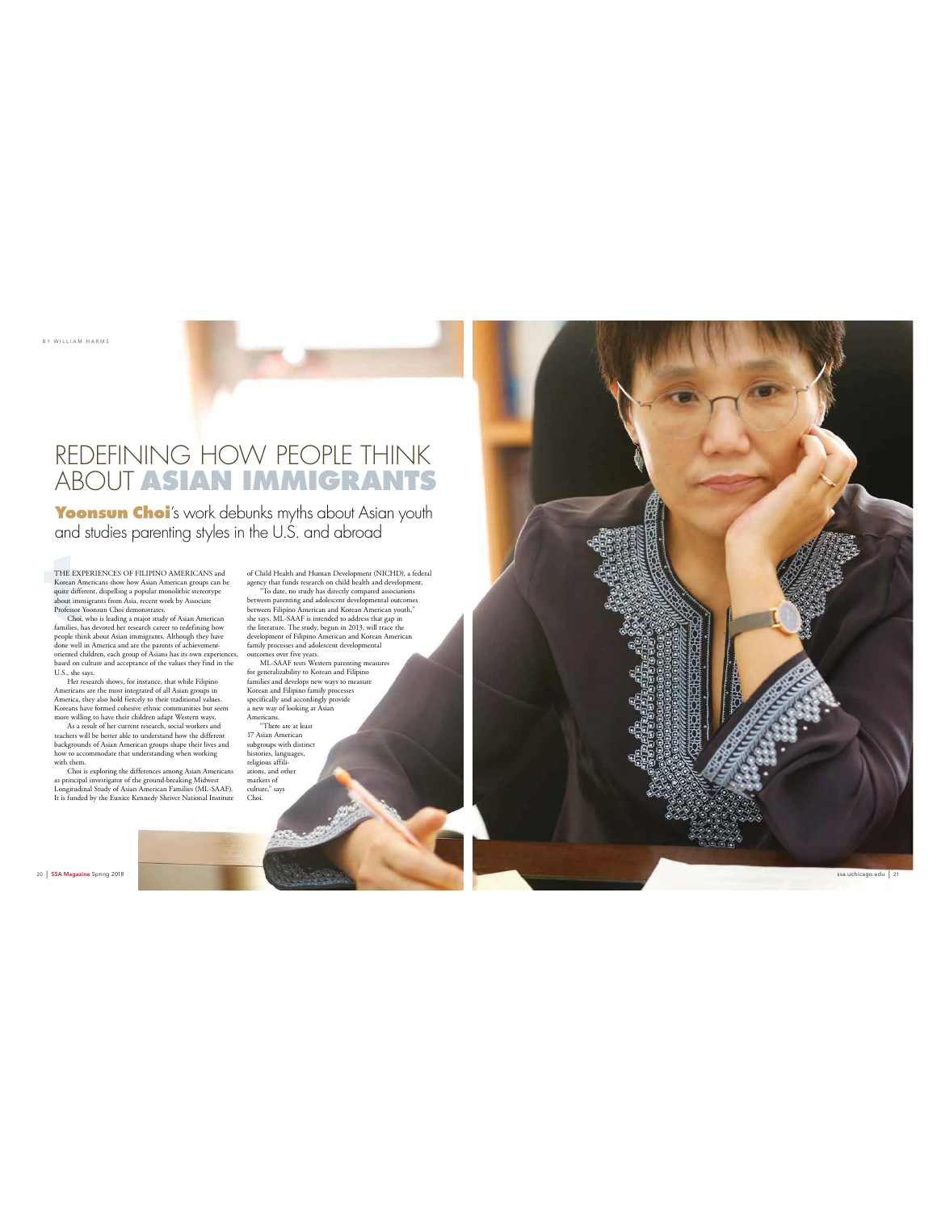BY WILLIAM HARMS

## REDEFINING HOW PEOPLE THINK ABOUT **ASIAN IMMIGRANTS**

**Yoonsun Choi** 's work debunks myths about Asian youth and studies parenting styles in the U.S. and abroad

THE EXI<br>Korean Ar<br>quite diffe<br>about imm<br>Professor<br>Choi,<br>families, h<br>people thin THE EXPERIENCES OF FILIPINO AMERICANS and Korean Americans show how Asian American groups can be quite different, dispelling a popular monolithic stereotype about immigrants from Asia, recent work by Associate Professor Yoonsun Choi demonstrates.

Thotessor Toonsun Choi demonstrates.<br>Choi, who is leading a major study of Asian American<br>families, has devoted her research career to redefining how families, has devoted her research career to redefining how<br>people think about Asian immigrants. Although they have<br>done well in America and are the parents of achievement-<br>oriented children, each group of Asians has its o

U.S., she says. Her research shows, for instance, that while Filipino Americans are the most integrated of all Asian groups in America, they also hold fiercely to their traditional values.

Koreans have formed cohesive ethnic communities but seem<br>more willing to have their children adapt Western ways.<br>As a result of her current research, social workers and<br>teachers will be better able to understand how the di

with them. Choi is exploring the differences among Asian Americans as principal investigator of the ground-breaking Midwest Longitudinal Study of Asian American Families (ML-SAAF). It is funded by the Eunice Kennedy Shriver National Institute is a method of the Eunice Kennedy Shriver National Institu

of Child Health and Human Development (NICHI), a federal<br>exercy that funds research on child health and development.<br>"To date, no study has directly compared associations<br>between parenting and adolescent developmental outc

religious affili-ations, and other markers of culture," says Choi.



20 | SSA Magazine Spring 2018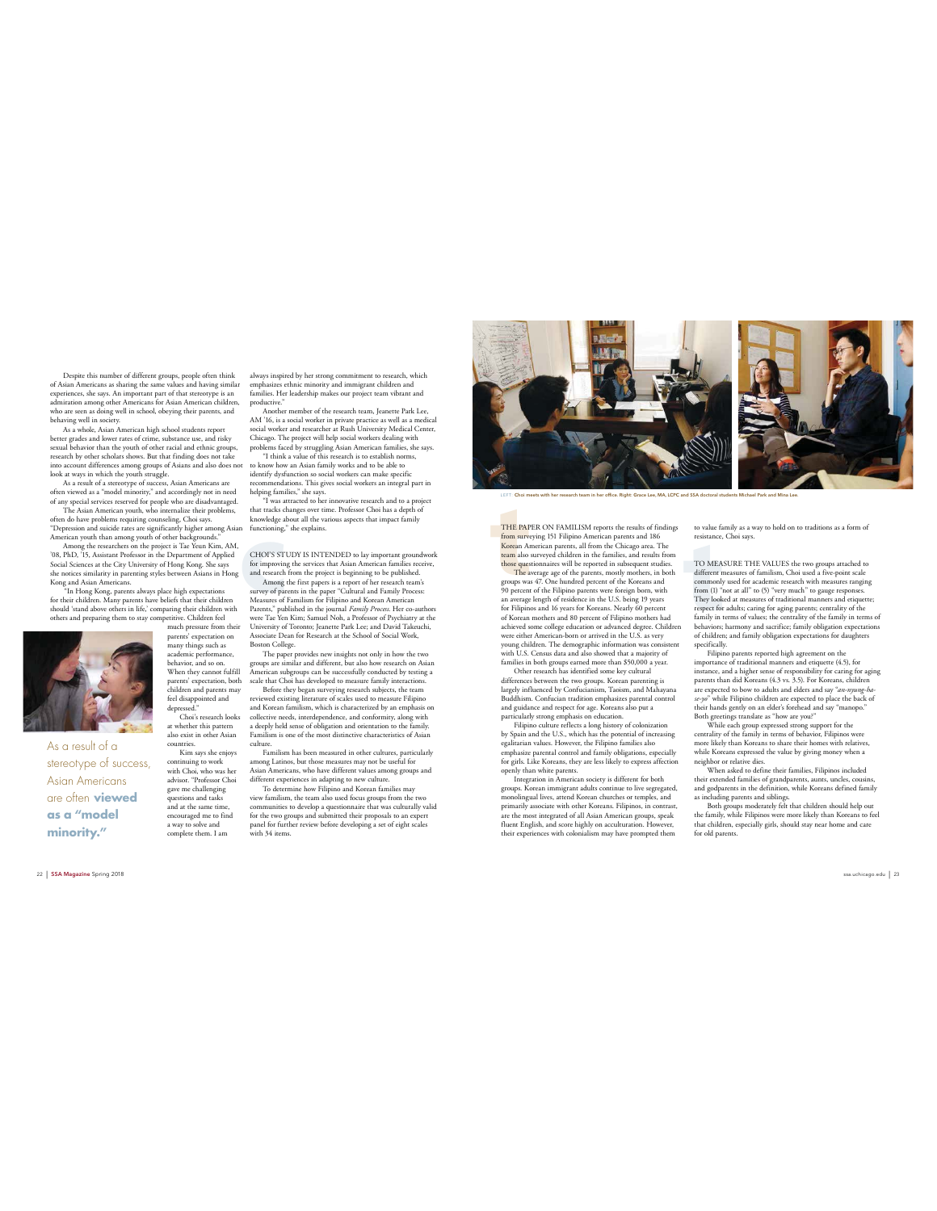Despite this number of different groups, people often think of Asian Americans as sharing the same values and having similar experiences, she says. An important part of that stereotype is an admiration among other Americans for Asian American children, who are seen as doing well in school, obeying their parents, and behaving well in society.

 As a whole, Asian American high school students report better grades and lower rates of crime, substance use, and risky sexual behavior than the youth of other racial and ethnic groups, research by other scholars shows. But that finding does not take into account differences among groups of Asians and also does not

look at ways in which the youth struggle.<br>As a result of a stercotype of success, Asian Americans are<br>often viewed as a "model minority," and accordingly not in need<br>of any special services reserved for people who are disa

often do have problems requiring counseling, Choi says. "Depression and suicide rates are significantly higher among Asian American youth than among youth of other backgrounds."

Among the researchers on the project is Tae Yeun Kim, AM,<br>'08, PhD, '15, Assistant Professor in the Department of Applied<br>Social Sciences at the City University of Hong Kong. She says<br>she notices similarity in parenting st Kong and Asian Americans.

"In Hong Kong, parents always place high expectations<br>for their children. Many parents have beliefs that their children<br>should 'stand above others in life,' comparing their children with<br>orthers and preparing them to stay much pressure from their



As a result of a stereotype of success, Asian Americans are often **viewed as a "model minority."**

parents' expectation on many things such as academic performance, behavior, and so on. When they cannot fulfill parents' expectation, both children and parents may feel disappointed and depress Choi's research looks

at whether this pattern also exist in other Asian countries.

 Kim says she enjoys continuing to work with Choi, who was her advisor. "Professor Choi gave me challenging<br>questions and tasks questions and tasks and at the same time, encouraged me to find a way to solve and complete them. I am

always inspired by her strong commitment to research, which emphasizes ethnic minority and immigrant children and families. Her leadership makes our project team vibrant and productive."<br>Another member of the research team, Jeanette Park Lee,

Another member of the research team, Jeanette Park Lee,<br>MM 'Io, is a social worker in private practice as well as a medical<br>social worker and researcher at Rush University Medical Center,<br>Chicago. The project will help soc

to know how an Asian family works and to be able to identify dysfunction so social workers can make specific

recommendations. This gives social workers an integral part in helping families," she says. "I was attracted to her innovative research and to a project that tracks changes over time. Professor Choi has a depth of knowledge about all the various aspects that impact family functioning," she explains.

knowledge a<br>
n functioning,<br>
CHOI'S ST<br>
for improvin<br>
and research<br>
Among<br>
survey of pan<br>
Parents," pul CHOI'S STUDY IS INTENDED to lay important groundwork

for improving the services that Asian American families receive,<br>and research from the project is beginning to be published.<br>Among the first papers is a report of her research team's<br>survey of parents in the paper "Cultura University of Toronto; Jeanette Park Lee; and David Takeuchi, Associate Dean for Research at the School of Social Work,

Boston College. The paper provides new insights not only in how the two groups are similar and different, but also how research on Asian American subgroups can be successfully conducted by testing a scale that Choi has developed to measure family interactions. Before they began surveying research subjects, the team

reviewed existing literature of scales used to measure Filipino and Korean familism, which is characterized by an emphasis on collective needs, interdependence, and conformity, along with a deeply held sense of obligation and orientation to the family. Familism is one of the most distinctive characteristics of Asian culture.

Familism has been measured in other cultures, particularly<br>among Latinos, but those measures may not be useful for<br>Asian Americans, who have different values among groups and<br>different experiences in adapting to new cultur

 To determine how Filipino and Korean families may view familism, the team also used focus groups from the two<br>communities to develop a questionnaire that was culturally valid<br>for the two groups and submitted their proposals to an expert<br>panel for further review before dev with 34 items.



LEFT: Choi meets with her research team in her office. Right: Grace Lee, MA, LCPC and SSA doctoral students Michael Park and Mina Lee.

**THE PAPER ON FAMILISM reports the results of findings to value famous<br>wrops [S1 Filipino American parents and 186 resistance, Korean American parents, all from the Chicago area. The<br>term also survyed children in the fami THE PAPER ON FAMILISM reports the results of findings<br><mark>from surv</mark>eying 151 Filipino American parents and 186<br><mark>Korea</mark>n American parents, all from the Chicago area. The<br><mark>team</mark> also surveyed children in the families, and res those questionnaires will be reported in subsequent studies.**<br>The average age of the parents, mostly mothers, in both propus was 47. One hundred percent of the Koreans and 90 percent of the Filipino parents were foreign b

an average length of residence in the U.S. being 19 years for Filipinos and 16 years for Koreans. Nearly 60 percent of Korean mothers and 80 percent of Filipino mothers had achieved some college education or advanced degree. Children were either American-born or arrived in the U.S. as very young children. The demographic information was consistent with U.S. Census data and also showed that a majority of families in both groups earned more than \$50,000 a year. Other research has identified some key cultural

differences between the two groups. Korean parenting is largely influenced by Confucianism, Taoism, and Mahayana Buddhism. Confucian tradition emphasizes parental control and guidance and respect for age. Koreans also put a

particularly strong emphasis on education.<br>Filipino culture reflects a long history of colonization<br>by Spain and the U.S., which has the potential of increasing<br>egalitarian values. However, the Filipino families also<br>empha for girls. Like Koreans, they are less likely to express affection openly than white parents. Integration in American society is different for both

groups. Korean immigrant adults continue to live segregated, monolingual lives, attend Korean churches or temples, and primarily associate with other Koreans. Filipinos, in contrast,<br>are the most integrated of all Asian American groups, speak<br>fluent English, and score highly on acculturation. However,<br>their experiences with colonialism may to value family as a way to hold on to traditions as a form of o vanie iaiiiiy as a v<br>esistance, Choi says.

TO MEASURE THE VALUES the two groups attached to<br>different measures of familism, Choi used a five-point scale<br>commonly used for academic research with measures ranging<br>from (1) "not at all" to (5) "very much" to gauge resp They looked at measures of traditional manners and etiquette; respect for adults; caring for aging parents; centrality of the<br>family in terms of values; the centrality of the family in terms of<br>behaviors; harmony and sacrifice; family obligation expectations<br>of children; and family o specifically.

Filipino parents repords high agreement on the<br>importance of traditional manners and etiquette (4.5), for<br>instance, and a higher sense of responsibility for caring for aging<br>parents than did Koreans (4.3 vs. 3.5). For Kor

Both greetings translate as "how are you?"<br>While each group expressed strong support for the<br>centrality of the family in terms of behavior, Filipinos were<br>more likely than Koreans to share their homes with relatives,<br>while neighbor or relative dies.

When asked to define their families, Filipinos included their extended families of grandparents, aunts, uncles, cousins, and godparents in the definition, while Koreans defined family

as including parents and siblings.<br>Both groups moderately felt that children should help out<br>the family, while Filipinos were more likely than Koreans to feel<br>that children, especially girls, should stay near home and care for old parents

ssa.uchicago.edu | 23

22 | SSA Magazine Spring 2018